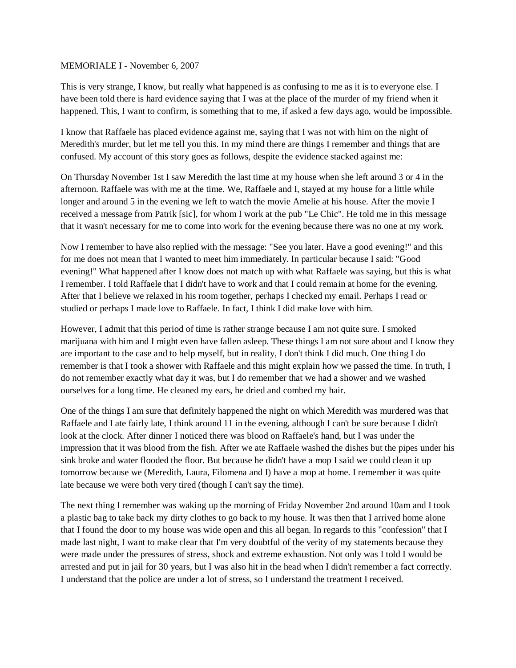## MEMORIALE I - November 6, 2007

This is very strange, I know, but really what happened is as confusing to me as it is to everyone else. I have been told there is hard evidence saying that I was at the place of the murder of my friend when it happened. This, I want to confirm, is something that to me, if asked a few days ago, would be impossible.

I know that Raffaele has placed evidence against me, saying that I was not with him on the night of Meredith's murder, but let me tell you this. In my mind there are things I remember and things that are confused. My account of this story goes as follows, despite the evidence stacked against me:

On Thursday November 1st I saw Meredith the last time at my house when she left around 3 or 4 in the afternoon. Raffaele was with me at the time. We, Raffaele and I, stayed at my house for a little while longer and around 5 in the evening we left to watch the movie Amelie at his house. After the movie I received a message from Patrik [sic], for whom I work at the pub "Le Chic". He told me in this message that it wasn't necessary for me to come into work for the evening because there was no one at my work.

Now I remember to have also replied with the message: "See you later. Have a good evening!" and this for me does not mean that I wanted to meet him immediately. In particular because I said: "Good evening!" What happened after I know does not match up with what Raffaele was saying, but this is what I remember. I told Raffaele that I didn't have to work and that I could remain at home for the evening. After that I believe we relaxed in his room together, perhaps I checked my email. Perhaps I read or studied or perhaps I made love to Raffaele. In fact, I think I did make love with him.

However, I admit that this period of time is rather strange because I am not quite sure. I smoked marijuana with him and I might even have fallen asleep. These things I am not sure about and I know they are important to the case and to help myself, but in reality, I don't think I did much. One thing I do remember is that I took a shower with Raffaele and this might explain how we passed the time. In truth, I do not remember exactly what day it was, but I do remember that we had a shower and we washed ourselves for a long time. He cleaned my ears, he dried and combed my hair.

One of the things I am sure that definitely happened the night on which Meredith was murdered was that Raffaele and I ate fairly late, I think around 11 in the evening, although I can't be sure because I didn't look at the clock. After dinner I noticed there was blood on Raffaele's hand, but I was under the impression that it was blood from the fish. After we ate Raffaele washed the dishes but the pipes under his sink broke and water flooded the floor. But because he didn't have a mop I said we could clean it up tomorrow because we (Meredith, Laura, Filomena and I) have a mop at home. I remember it was quite late because we were both very tired (though I can't say the time).

The next thing I remember was waking up the morning of Friday November 2nd around 10am and I took a plastic bag to take back my dirty clothes to go back to my house. It was then that I arrived home alone that I found the door to my house was wide open and this all began. In regards to this "confession" that I made last night, I want to make clear that I'm very doubtful of the verity of my statements because they were made under the pressures of stress, shock and extreme exhaustion. Not only was I told I would be arrested and put in jail for 30 years, but I was also hit in the head when I didn't remember a fact correctly. I understand that the police are under a lot of stress, so I understand the treatment I received.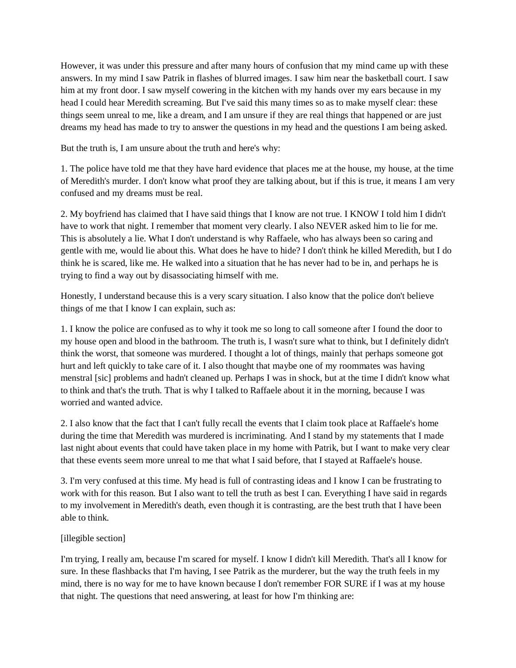However, it was under this pressure and after many hours of confusion that my mind came up with these answers. In my mind I saw Patrik in flashes of blurred images. I saw him near the basketball court. I saw him at my front door. I saw myself cowering in the kitchen with my hands over my ears because in my head I could hear Meredith screaming. But I've said this many times so as to make myself clear: these things seem unreal to me, like a dream, and I am unsure if they are real things that happened or are just dreams my head has made to try to answer the questions in my head and the questions I am being asked.

But the truth is, I am unsure about the truth and here's why:

1. The police have told me that they have hard evidence that places me at the house, my house, at the time of Meredith's murder. I don't know what proof they are talking about, but if this is true, it means I am very confused and my dreams must be real.

2. My boyfriend has claimed that I have said things that I know are not true. I KNOW I told him I didn't have to work that night. I remember that moment very clearly. I also NEVER asked him to lie for me. This is absolutely a lie. What I don't understand is why Raffaele, who has always been so caring and gentle with me, would lie about this. What does he have to hide? I don't think he killed Meredith, but I do think he is scared, like me. He walked into a situation that he has never had to be in, and perhaps he is trying to find a way out by disassociating himself with me.

Honestly, I understand because this is a very scary situation. I also know that the police don't believe things of me that I know I can explain, such as:

1. I know the police are confused as to why it took me so long to call someone after I found the door to my house open and blood in the bathroom. The truth is, I wasn't sure what to think, but I definitely didn't think the worst, that someone was murdered. I thought a lot of things, mainly that perhaps someone got hurt and left quickly to take care of it. I also thought that maybe one of my roommates was having menstral [sic] problems and hadn't cleaned up. Perhaps I was in shock, but at the time I didn't know what to think and that's the truth. That is why I talked to Raffaele about it in the morning, because I was worried and wanted advice.

2. I also know that the fact that I can't fully recall the events that I claim took place at Raffaele's home during the time that Meredith was murdered is incriminating. And I stand by my statements that I made last night about events that could have taken place in my home with Patrik, but I want to make very clear that these events seem more unreal to me that what I said before, that I stayed at Raffaele's house.

3. I'm very confused at this time. My head is full of contrasting ideas and I know I can be frustrating to work with for this reason. But I also want to tell the truth as best I can. Everything I have said in regards to my involvement in Meredith's death, even though it is contrasting, are the best truth that I have been able to think.

## [illegible section]

I'm trying, I really am, because I'm scared for myself. I know I didn't kill Meredith. That's all I know for sure. In these flashbacks that I'm having, I see Patrik as the murderer, but the way the truth feels in my mind, there is no way for me to have known because I don't remember FOR SURE if I was at my house that night. The questions that need answering, at least for how I'm thinking are: